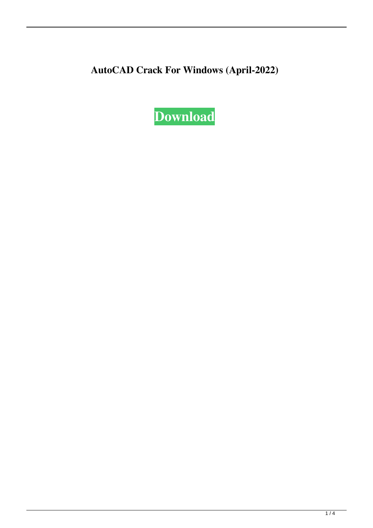**AutoCAD Crack For Windows (April-2022)**

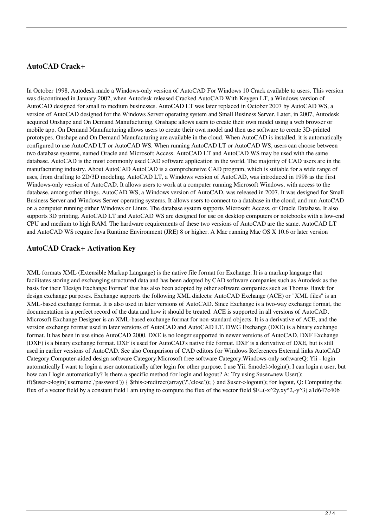### **AutoCAD Crack+**

In October 1998, Autodesk made a Windows-only version of AutoCAD For Windows 10 Crack available to users. This version was discontinued in January 2002, when Autodesk released Cracked AutoCAD With Keygen LT, a Windows version of AutoCAD designed for small to medium businesses. AutoCAD LT was later replaced in October 2007 by AutoCAD WS, a version of AutoCAD designed for the Windows Server operating system and Small Business Server. Later, in 2007, Autodesk acquired Onshape and On Demand Manufacturing. Onshape allows users to create their own model using a web browser or mobile app. On Demand Manufacturing allows users to create their own model and then use software to create 3D-printed prototypes. Onshape and On Demand Manufacturing are available in the cloud. When AutoCAD is installed, it is automatically configured to use AutoCAD LT or AutoCAD WS. When running AutoCAD LT or AutoCAD WS, users can choose between two database systems, named Oracle and Microsoft Access. AutoCAD LT and AutoCAD WS may be used with the same database. AutoCAD is the most commonly used CAD software application in the world. The majority of CAD users are in the manufacturing industry. About AutoCAD AutoCAD is a comprehensive CAD program, which is suitable for a wide range of uses, from drafting to 2D/3D modeling. AutoCAD LT, a Windows version of AutoCAD, was introduced in 1998 as the first Windows-only version of AutoCAD. It allows users to work at a computer running Microsoft Windows, with access to the database, among other things. AutoCAD WS, a Windows version of AutoCAD, was released in 2007. It was designed for Small Business Server and Windows Server operating systems. It allows users to connect to a database in the cloud, and run AutoCAD on a computer running either Windows or Linux. The database system supports Microsoft Access, or Oracle Database. It also supports 3D printing. AutoCAD LT and AutoCAD WS are designed for use on desktop computers or notebooks with a low-end CPU and medium to high RAM. The hardware requirements of these two versions of AutoCAD are the same. AutoCAD LT and AutoCAD WS require Java Runtime Environment (JRE) 8 or higher. A Mac running Mac OS X 10.6 or later version

## **AutoCAD Crack+ Activation Key**

XML formats XML (Extensible Markup Language) is the native file format for Exchange. It is a markup language that facilitates storing and exchanging structured data and has been adopted by CAD software companies such as Autodesk as the basis for their 'Design Exchange Format' that has also been adopted by other software companies such as Thomas Hawk for design exchange purposes. Exchange supports the following XML dialects: AutoCAD Exchange (ACE) or "XML files" is an XML-based exchange format. It is also used in later versions of AutoCAD. Since Exchange is a two-way exchange format, the documentation is a perfect record of the data and how it should be treated. ACE is supported in all versions of AutoCAD. Microsoft Exchange Designer is an XML-based exchange format for non-standard objects. It is a derivative of ACE, and the version exchange format used in later versions of AutoCAD and AutoCAD LT. DWG Exchange (DXE) is a binary exchange format. It has been in use since AutoCAD 2000. DXE is no longer supported in newer versions of AutoCAD. DXF Exchange (DXF) is a binary exchange format. DXF is used for AutoCAD's native file format. DXF is a derivative of DXE, but is still used in earlier versions of AutoCAD. See also Comparison of CAD editors for Windows References External links AutoCAD Category:Computer-aided design software Category:Microsoft free software Category:Windows-only softwareQ: Yii - login automatically I want to login a user automatically after login for other purpose. I use Yii. \$model->login(); I can login a user, but how can I login automatically? Is there a specific method for login and logout? A: Try using \$user=new User(); if(\$user->login('username','password')) { \$this->redirect(array('/','close')); } and \$user->logout(); for logout, Q: Computing the flux of a vector field by a constant field I am trying to compute the flux of the vector field  $F=(-x^2y,xy^2,-y^3)$  a1d647c40b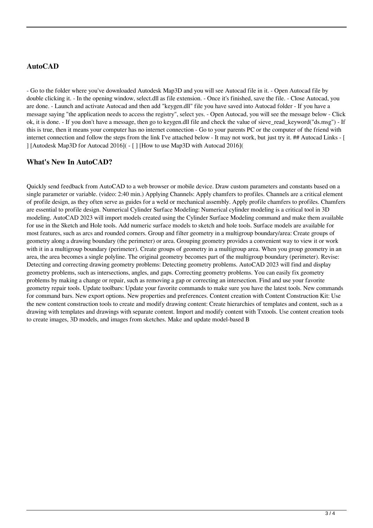# **AutoCAD**

- Go to the folder where you've downloaded Autodesk Map3D and you will see Autocad file in it. - Open Autocad file by double clicking it. - In the opening window, select.dll as file extension. - Once it's finished, save the file. - Close Autocad, you are done. - Launch and activate Autocad and then add "keygen.dll" file you have saved into Autocad folder - If you have a message saying "the application needs to access the registry", select yes. - Open Autocad, you will see the message below - Click ok, it is done. - If you don't have a message, then go to keygen.dll file and check the value of sieve\_read\_keyword("ds.msg") - If this is true, then it means your computer has no internet connection - Go to your parents PC or the computer of the friend with internet connection and follow the steps from the link I've attached below - It may not work, but just try it. ## Autocad Links - [ ] [Autodesk Map3D for Autocad 2016]( - [ ] [How to use Map3D with Autocad 2016](

#### **What's New In AutoCAD?**

Quickly send feedback from AutoCAD to a web browser or mobile device. Draw custom parameters and constants based on a single parameter or variable. (video: 2:40 min.) Applying Channels: Apply chamfers to profiles. Channels are a critical element of profile design, as they often serve as guides for a weld or mechanical assembly. Apply profile chamfers to profiles. Chamfers are essential to profile design. Numerical Cylinder Surface Modeling: Numerical cylinder modeling is a critical tool in 3D modeling. AutoCAD 2023 will import models created using the Cylinder Surface Modeling command and make them available for use in the Sketch and Hole tools. Add numeric surface models to sketch and hole tools. Surface models are available for most features, such as arcs and rounded corners. Group and filter geometry in a multigroup boundary/area: Create groups of geometry along a drawing boundary (the perimeter) or area. Grouping geometry provides a convenient way to view it or work with it in a multigroup boundary (perimeter). Create groups of geometry in a multigroup area. When you group geometry in an area, the area becomes a single polyline. The original geometry becomes part of the multigroup boundary (perimeter). Revise: Detecting and correcting drawing geometry problems: Detecting geometry problems. AutoCAD 2023 will find and display geometry problems, such as intersections, angles, and gaps. Correcting geometry problems. You can easily fix geometry problems by making a change or repair, such as removing a gap or correcting an intersection. Find and use your favorite geometry repair tools. Update toolbars: Update your favorite commands to make sure you have the latest tools. New commands for command bars. New export options. New properties and preferences. Content creation with Content Construction Kit: Use the new content construction tools to create and modify drawing content: Create hierarchies of templates and content, such as a drawing with templates and drawings with separate content. Import and modify content with Txtools. Use content creation tools to create images, 3D models, and images from sketches. Make and update model-based B